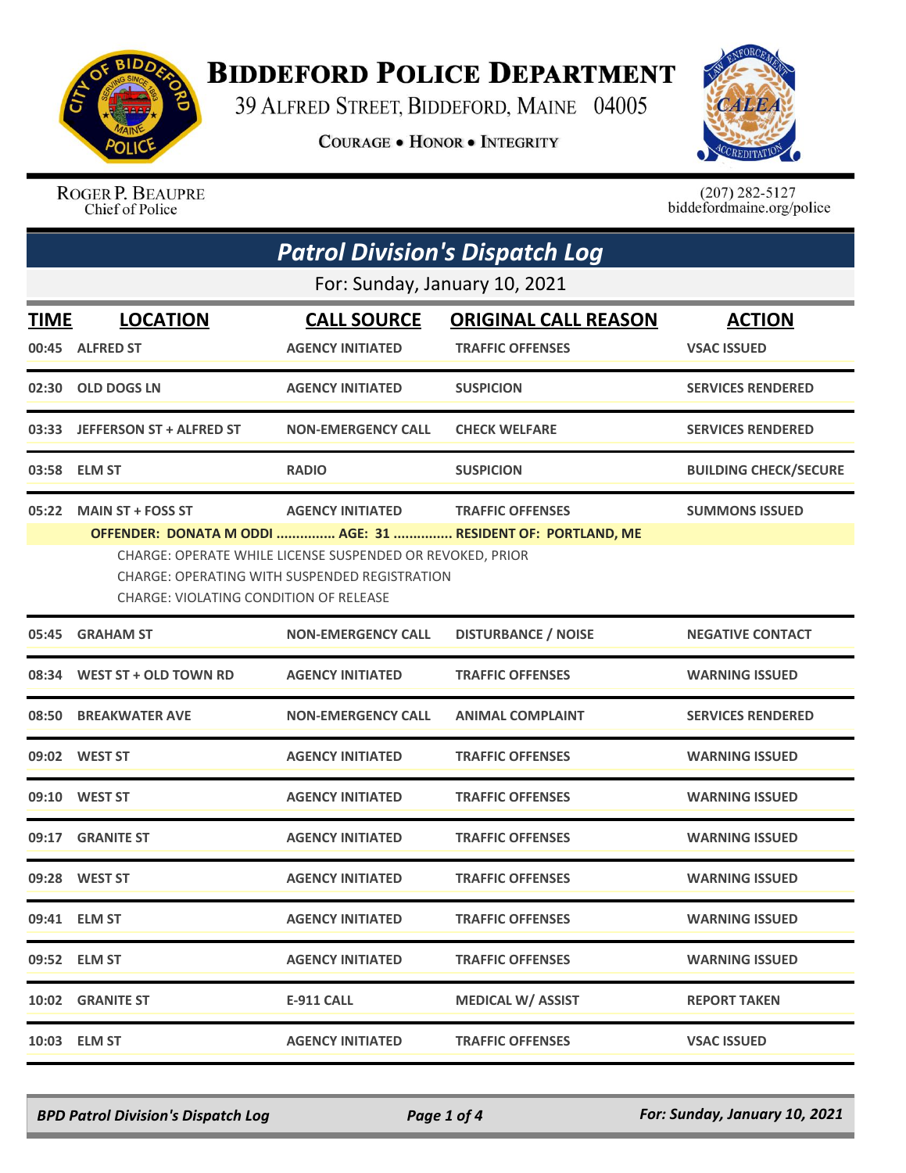

## **BIDDEFORD POLICE DEPARTMENT**

39 ALFRED STREET, BIDDEFORD, MAINE 04005

**COURAGE . HONOR . INTEGRITY** 



ROGER P. BEAUPRE Chief of Police

 $(207)$  282-5127<br>biddefordmaine.org/police

| <b>Patrol Division's Dispatch Log</b> |                                        |                                                                                                            |                                                                                        |                                     |  |
|---------------------------------------|----------------------------------------|------------------------------------------------------------------------------------------------------------|----------------------------------------------------------------------------------------|-------------------------------------|--|
|                                       | For: Sunday, January 10, 2021          |                                                                                                            |                                                                                        |                                     |  |
| <b>TIME</b>                           | <b>LOCATION</b><br>00:45 ALFRED ST     | <b>CALL SOURCE</b><br><b>AGENCY INITIATED</b>                                                              | <b>ORIGINAL CALL REASON</b><br><b>TRAFFIC OFFENSES</b>                                 | <b>ACTION</b><br><b>VSAC ISSUED</b> |  |
|                                       |                                        |                                                                                                            |                                                                                        |                                     |  |
| 02:30                                 | <b>OLD DOGS LN</b>                     | <b>AGENCY INITIATED</b>                                                                                    | <b>SUSPICION</b>                                                                       | <b>SERVICES RENDERED</b>            |  |
| 03:33                                 | <b>JEFFERSON ST + ALFRED ST</b>        | <b>NON-EMERGENCY CALL</b>                                                                                  | <b>CHECK WELFARE</b>                                                                   | <b>SERVICES RENDERED</b>            |  |
|                                       | 03:58 ELM ST                           | <b>RADIO</b>                                                                                               | <b>SUSPICION</b>                                                                       | <b>BUILDING CHECK/SECURE</b>        |  |
| 05:22                                 | <b>MAIN ST + FOSS ST</b>               | <b>AGENCY INITIATED</b>                                                                                    | <b>TRAFFIC OFFENSES</b><br>OFFENDER: DONATA M ODDI  AGE: 31  RESIDENT OF: PORTLAND, ME | <b>SUMMONS ISSUED</b>               |  |
|                                       | CHARGE: VIOLATING CONDITION OF RELEASE | CHARGE: OPERATE WHILE LICENSE SUSPENDED OR REVOKED, PRIOR<br>CHARGE: OPERATING WITH SUSPENDED REGISTRATION |                                                                                        |                                     |  |
| 05:45                                 | <b>GRAHAM ST</b>                       | <b>NON-EMERGENCY CALL</b>                                                                                  | <b>DISTURBANCE / NOISE</b>                                                             | <b>NEGATIVE CONTACT</b>             |  |
| 08:34                                 | <b>WEST ST + OLD TOWN RD</b>           | <b>AGENCY INITIATED</b>                                                                                    | <b>TRAFFIC OFFENSES</b>                                                                | <b>WARNING ISSUED</b>               |  |
| 08:50                                 | <b>BREAKWATER AVE</b>                  | <b>NON-EMERGENCY CALL</b>                                                                                  | <b>ANIMAL COMPLAINT</b>                                                                | <b>SERVICES RENDERED</b>            |  |
|                                       | 09:02 WEST ST                          | <b>AGENCY INITIATED</b>                                                                                    | <b>TRAFFIC OFFENSES</b>                                                                | <b>WARNING ISSUED</b>               |  |
| 09:10                                 | <b>WEST ST</b>                         | <b>AGENCY INITIATED</b>                                                                                    | <b>TRAFFIC OFFENSES</b>                                                                | <b>WARNING ISSUED</b>               |  |
| 09:17                                 | <b>GRANITE ST</b>                      | <b>AGENCY INITIATED</b>                                                                                    | <b>TRAFFIC OFFENSES</b>                                                                | <b>WARNING ISSUED</b>               |  |
|                                       | 09:28 WEST ST                          | <b>AGENCY INITIATED</b>                                                                                    | <b>TRAFFIC OFFENSES</b>                                                                | <b>WARNING ISSUED</b>               |  |
|                                       | 09:41 ELM ST                           | <b>AGENCY INITIATED</b>                                                                                    | <b>TRAFFIC OFFENSES</b>                                                                | <b>WARNING ISSUED</b>               |  |
|                                       | 09:52 ELM ST                           | <b>AGENCY INITIATED</b>                                                                                    | <b>TRAFFIC OFFENSES</b>                                                                | <b>WARNING ISSUED</b>               |  |
|                                       | 10:02 GRANITE ST                       | <b>E-911 CALL</b>                                                                                          | <b>MEDICAL W/ ASSIST</b>                                                               | <b>REPORT TAKEN</b>                 |  |
|                                       | 10:03 ELM ST                           | <b>AGENCY INITIATED</b>                                                                                    | <b>TRAFFIC OFFENSES</b>                                                                | <b>VSAC ISSUED</b>                  |  |

*BPD Patrol Division's Dispatch Log Page 1 of 4 For: Sunday, January 10, 2021*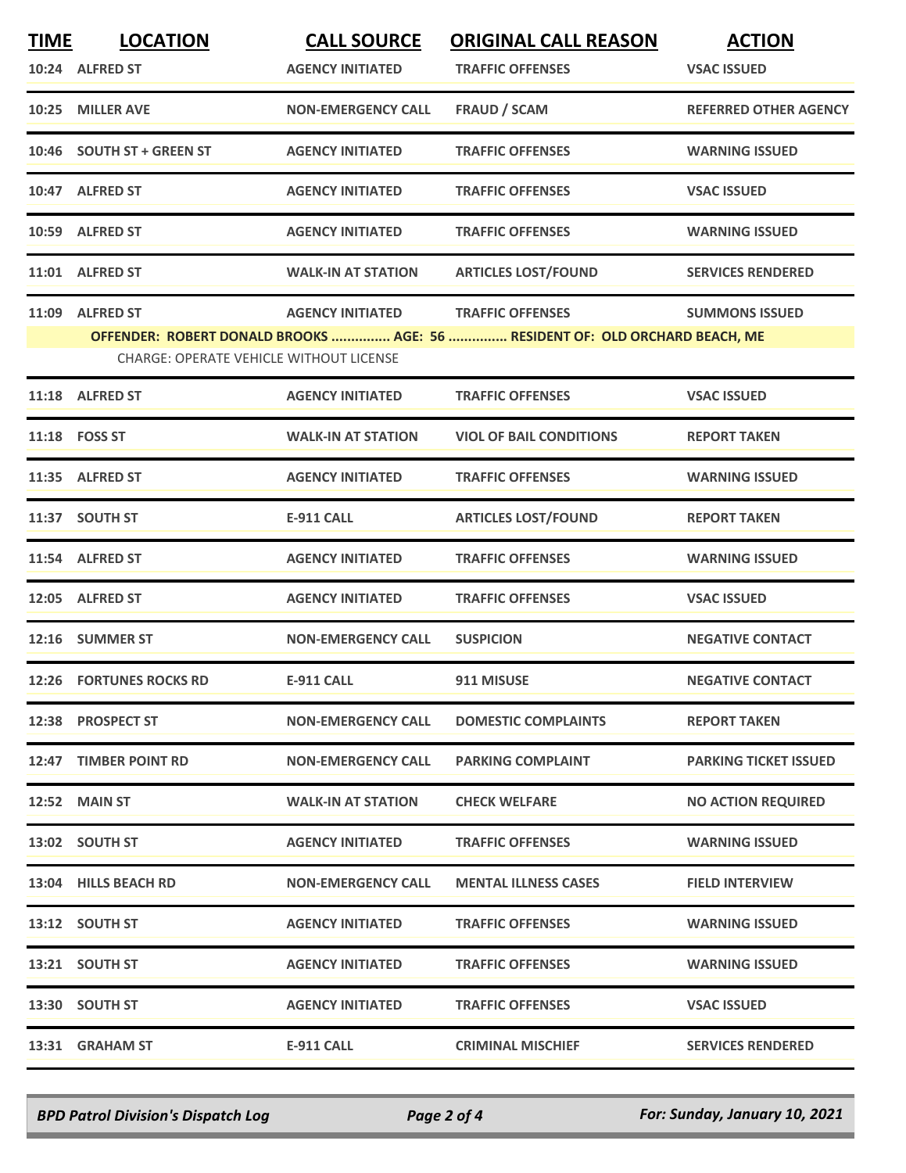| <b>TIME</b> | <b>LOCATION</b>                                | <b>CALL SOURCE</b>        | <b>ORIGINAL CALL REASON</b>                                                 | <b>ACTION</b>                |
|-------------|------------------------------------------------|---------------------------|-----------------------------------------------------------------------------|------------------------------|
|             | 10:24 ALFRED ST                                | <b>AGENCY INITIATED</b>   | <b>TRAFFIC OFFENSES</b>                                                     | <b>VSAC ISSUED</b>           |
| 10:25       | <b>MILLER AVE</b>                              | <b>NON-EMERGENCY CALL</b> | <b>FRAUD / SCAM</b>                                                         | <b>REFERRED OTHER AGENCY</b> |
|             | 10:46 SOUTH ST + GREEN ST                      | <b>AGENCY INITIATED</b>   | <b>TRAFFIC OFFENSES</b>                                                     | <b>WARNING ISSUED</b>        |
|             | 10:47 ALFRED ST                                | <b>AGENCY INITIATED</b>   | <b>TRAFFIC OFFENSES</b>                                                     | <b>VSAC ISSUED</b>           |
|             | 10:59 ALFRED ST                                | <b>AGENCY INITIATED</b>   | <b>TRAFFIC OFFENSES</b>                                                     | <b>WARNING ISSUED</b>        |
|             | 11:01 ALFRED ST                                | <b>WALK-IN AT STATION</b> | <b>ARTICLES LOST/FOUND</b>                                                  | <b>SERVICES RENDERED</b>     |
| 11:09       | <b>ALFRED ST</b>                               | <b>AGENCY INITIATED</b>   | <b>TRAFFIC OFFENSES</b>                                                     | <b>SUMMONS ISSUED</b>        |
|             |                                                |                           | OFFENDER: ROBERT DONALD BROOKS  AGE: 56  RESIDENT OF: OLD ORCHARD BEACH, ME |                              |
|             | <b>CHARGE: OPERATE VEHICLE WITHOUT LICENSE</b> |                           |                                                                             |                              |
|             | 11:18 ALFRED ST                                | <b>AGENCY INITIATED</b>   | <b>TRAFFIC OFFENSES</b>                                                     | <b>VSAC ISSUED</b>           |
|             | 11:18 FOSS ST                                  | <b>WALK-IN AT STATION</b> | <b>VIOL OF BAIL CONDITIONS</b>                                              | <b>REPORT TAKEN</b>          |
|             | 11:35 ALFRED ST                                | <b>AGENCY INITIATED</b>   | <b>TRAFFIC OFFENSES</b>                                                     | <b>WARNING ISSUED</b>        |
|             | 11:37 SOUTH ST                                 | <b>E-911 CALL</b>         | <b>ARTICLES LOST/FOUND</b>                                                  | <b>REPORT TAKEN</b>          |
|             | 11:54 ALFRED ST                                | <b>AGENCY INITIATED</b>   | <b>TRAFFIC OFFENSES</b>                                                     | <b>WARNING ISSUED</b>        |
| 12:05       | <b>ALFRED ST</b>                               | <b>AGENCY INITIATED</b>   | <b>TRAFFIC OFFENSES</b>                                                     | <b>VSAC ISSUED</b>           |
|             | 12:16 SUMMER ST                                | <b>NON-EMERGENCY CALL</b> | <b>SUSPICION</b>                                                            | <b>NEGATIVE CONTACT</b>      |
|             | <b>12:26 FORTUNES ROCKS RD</b>                 | <b>E-911 CALL</b>         | 911 MISUSE                                                                  | <b>NEGATIVE CONTACT</b>      |
|             | 12:38 PROSPECT ST                              | <b>NON-EMERGENCY CALL</b> | <b>DOMESTIC COMPLAINTS</b>                                                  | <b>REPORT TAKEN</b>          |
|             | 12:47 TIMBER POINT RD                          | <b>NON-EMERGENCY CALL</b> | <b>PARKING COMPLAINT</b>                                                    | <b>PARKING TICKET ISSUED</b> |
|             | 12:52 MAIN ST                                  | <b>WALK-IN AT STATION</b> | <b>CHECK WELFARE</b>                                                        | <b>NO ACTION REQUIRED</b>    |
|             | 13:02 SOUTH ST                                 | <b>AGENCY INITIATED</b>   | <b>TRAFFIC OFFENSES</b>                                                     | <b>WARNING ISSUED</b>        |
|             | 13:04 HILLS BEACH RD                           | <b>NON-EMERGENCY CALL</b> | <b>MENTAL ILLNESS CASES</b>                                                 | <b>FIELD INTERVIEW</b>       |
|             | 13:12 SOUTH ST                                 | <b>AGENCY INITIATED</b>   | <b>TRAFFIC OFFENSES</b>                                                     | <b>WARNING ISSUED</b>        |
|             | 13:21 SOUTH ST                                 | <b>AGENCY INITIATED</b>   | <b>TRAFFIC OFFENSES</b>                                                     | <b>WARNING ISSUED</b>        |
|             | 13:30 SOUTH ST                                 | <b>AGENCY INITIATED</b>   | <b>TRAFFIC OFFENSES</b>                                                     | <b>VSAC ISSUED</b>           |
|             | 13:31 GRAHAM ST                                | E-911 CALL                | <b>CRIMINAL MISCHIEF</b>                                                    | <b>SERVICES RENDERED</b>     |

*BPD Patrol Division's Dispatch Log Page 2 of 4 For: Sunday, January 10, 2021*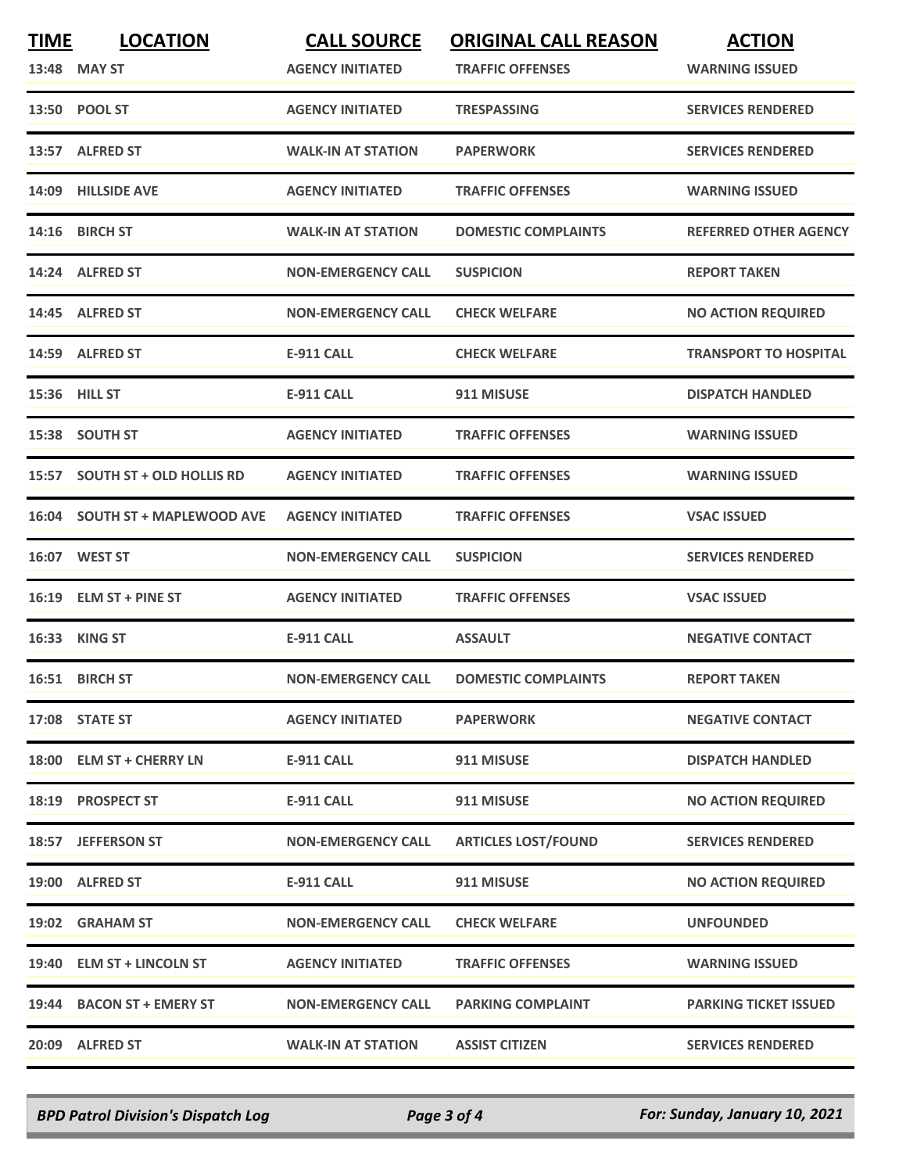| <b>TIME</b> | <b>LOCATION</b><br>13:48 MAY ST | <b>CALL SOURCE</b><br><b>AGENCY INITIATED</b> | <b>ORIGINAL CALL REASON</b><br><b>TRAFFIC OFFENSES</b> | <b>ACTION</b><br><b>WARNING ISSUED</b> |
|-------------|---------------------------------|-----------------------------------------------|--------------------------------------------------------|----------------------------------------|
|             | 13:50 POOL ST                   | <b>AGENCY INITIATED</b>                       | <b>TRESPASSING</b>                                     | <b>SERVICES RENDERED</b>               |
|             | 13:57 ALFRED ST                 | <b>WALK-IN AT STATION</b>                     | <b>PAPERWORK</b>                                       | <b>SERVICES RENDERED</b>               |
| 14:09       | <b>HILLSIDE AVE</b>             | <b>AGENCY INITIATED</b>                       | <b>TRAFFIC OFFENSES</b>                                | <b>WARNING ISSUED</b>                  |
|             | 14:16 BIRCH ST                  | <b>WALK-IN AT STATION</b>                     | <b>DOMESTIC COMPLAINTS</b>                             | <b>REFERRED OTHER AGENCY</b>           |
|             | 14:24 ALFRED ST                 | <b>NON-EMERGENCY CALL</b>                     | <b>SUSPICION</b>                                       | <b>REPORT TAKEN</b>                    |
|             | 14:45 ALFRED ST                 | <b>NON-EMERGENCY CALL</b>                     | <b>CHECK WELFARE</b>                                   | <b>NO ACTION REQUIRED</b>              |
|             | 14:59 ALFRED ST                 | <b>E-911 CALL</b>                             | <b>CHECK WELFARE</b>                                   | <b>TRANSPORT TO HOSPITAL</b>           |
|             | 15:36 HILL ST                   | <b>E-911 CALL</b>                             | 911 MISUSE                                             | <b>DISPATCH HANDLED</b>                |
|             | 15:38 SOUTH ST                  | <b>AGENCY INITIATED</b>                       | <b>TRAFFIC OFFENSES</b>                                | <b>WARNING ISSUED</b>                  |
|             | 15:57 SOUTH ST + OLD HOLLIS RD  | <b>AGENCY INITIATED</b>                       | <b>TRAFFIC OFFENSES</b>                                | <b>WARNING ISSUED</b>                  |
|             | 16:04 SOUTH ST + MAPLEWOOD AVE  | <b>AGENCY INITIATED</b>                       | <b>TRAFFIC OFFENSES</b>                                | <b>VSAC ISSUED</b>                     |
|             | 16:07 WEST ST                   | <b>NON-EMERGENCY CALL</b>                     | <b>SUSPICION</b>                                       | <b>SERVICES RENDERED</b>               |
| 16:19       | <b>ELM ST + PINE ST</b>         | <b>AGENCY INITIATED</b>                       | <b>TRAFFIC OFFENSES</b>                                | <b>VSAC ISSUED</b>                     |
|             | 16:33 KING ST                   | <b>E-911 CALL</b>                             | <b>ASSAULT</b>                                         | <b>NEGATIVE CONTACT</b>                |
|             | 16:51 BIRCH ST                  | <b>NON-EMERGENCY CALL</b>                     | <b>DOMESTIC COMPLAINTS</b>                             | <b>REPORT TAKEN</b>                    |
|             | 17:08 STATE ST                  | <b>AGENCY INITIATED</b>                       | <b>PAPERWORK</b>                                       | <b>NEGATIVE CONTACT</b>                |
|             | 18:00 ELM ST + CHERRY LN        | <b>E-911 CALL</b>                             | 911 MISUSE                                             | <b>DISPATCH HANDLED</b>                |
|             | 18:19 PROSPECT ST               | E-911 CALL                                    | 911 MISUSE                                             | <b>NO ACTION REQUIRED</b>              |
|             | 18:57 JEFFERSON ST              | <b>NON-EMERGENCY CALL</b>                     | <b>ARTICLES LOST/FOUND</b>                             | <b>SERVICES RENDERED</b>               |
|             | 19:00 ALFRED ST                 | <b>E-911 CALL</b>                             | 911 MISUSE                                             | <b>NO ACTION REQUIRED</b>              |
|             | 19:02 GRAHAM ST                 | <b>NON-EMERGENCY CALL</b>                     | <b>CHECK WELFARE</b>                                   | <b>UNFOUNDED</b>                       |
|             | 19:40 ELM ST + LINCOLN ST       | <b>AGENCY INITIATED</b>                       | <b>TRAFFIC OFFENSES</b>                                | <b>WARNING ISSUED</b>                  |
|             | 19:44 BACON ST + EMERY ST       | <b>NON-EMERGENCY CALL</b>                     | <b>PARKING COMPLAINT</b>                               | <b>PARKING TICKET ISSUED</b>           |
|             | 20:09 ALFRED ST                 | <b>WALK-IN AT STATION</b>                     | <b>ASSIST CITIZEN</b>                                  | <b>SERVICES RENDERED</b>               |

*BPD Patrol Division's Dispatch Log Page 3 of 4 For: Sunday, January 10, 2021*